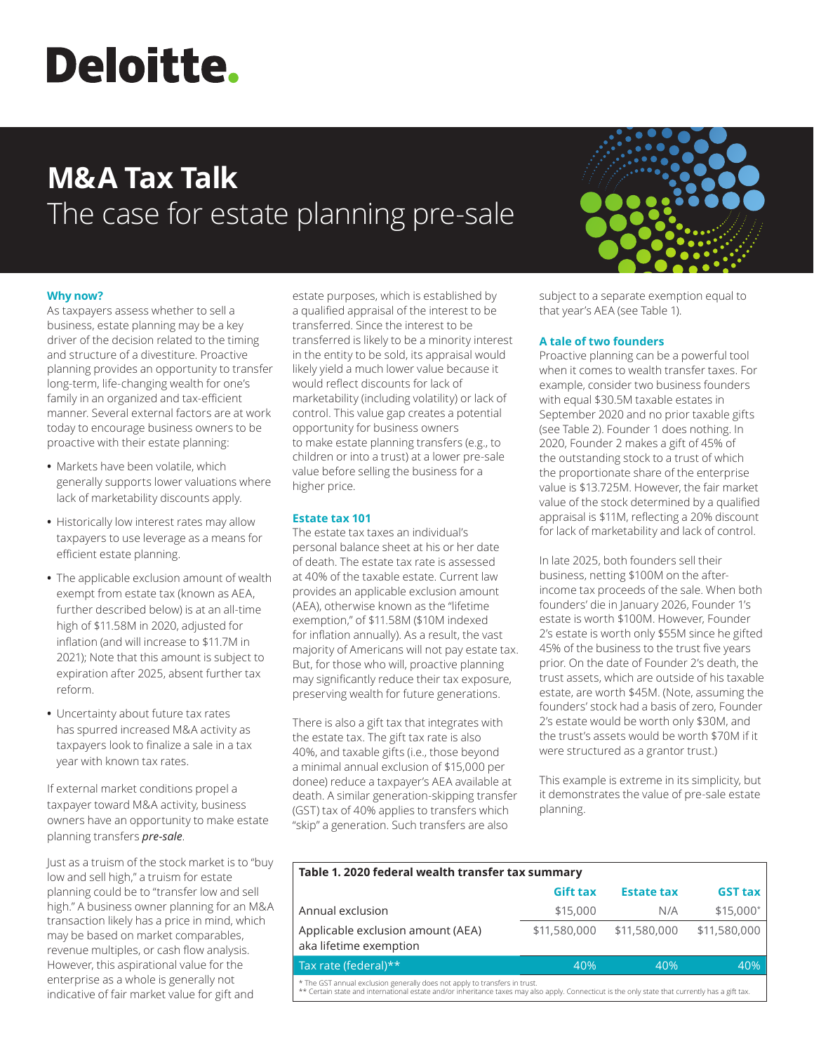# **Deloitte.**

# **M&A Tax Talk** The case for estate planning pre-sale



As taxpayers assess whether to sell a business, estate planning may be a key driver of the decision related to the timing and structure of a divestiture. Proactive planning provides an opportunity to transfer long-term, life-changing wealth for one's family in an organized and tax-efficient manner. Several external factors are at work today to encourage business owners to be proactive with their estate planning:

- **•** Markets have been volatile, which generally supports lower valuations where lack of marketability discounts apply.
- **•** Historically low interest rates may allow taxpayers to use leverage as a means for efficient estate planning.
- **•** The applicable exclusion amount of wealth exempt from estate tax (known as AEA, further described below) is at an all-time high of \$11.58M in 2020, adjusted for inflation (and will increase to \$11.7M in 2021); Note that this amount is subject to expiration after 2025, absent further tax reform.
- **•** Uncertainty about future tax rates has spurred increased M&A activity as taxpayers look to finalize a sale in a tax year with known tax rates.

If external market conditions propel a taxpayer toward M&A activity, business owners have an opportunity to make estate planning transfers *pre-sale*.

Just as a truism of the stock market is to "buy low and sell high," a truism for estate planning could be to "transfer low and sell high." A business owner planning for an M&A transaction likely has a price in mind, which may be based on market comparables, revenue multiples, or cash flow analysis. However, this aspirational value for the enterprise as a whole is generally not indicative of fair market value for gift and

estate purposes, which is established by a qualified appraisal of the interest to be transferred. Since the interest to be transferred is likely to be a minority interest in the entity to be sold, its appraisal would likely yield a much lower value because it would reflect discounts for lack of marketability (including volatility) or lack of control. This value gap creates a potential opportunity for business owners to make estate planning transfers (e.g., to children or into a trust) at a lower pre-sale value before selling the business for a higher price.

# **Estate tax 101**

The estate tax taxes an individual's personal balance sheet at his or her date of death. The estate tax rate is assessed at 40% of the taxable estate. Current law provides an applicable exclusion amount (AEA), otherwise known as the "lifetime exemption," of \$11.58M (\$10M indexed for inflation annually). As a result, the vast majority of Americans will not pay estate tax. But, for those who will, proactive planning may significantly reduce their tax exposure, preserving wealth for future generations.

There is also a gift tax that integrates with the estate tax. The gift tax rate is also 40%, and taxable gifts (i.e., those beyond a minimal annual exclusion of \$15,000 per donee) reduce a taxpayer's AEA available at death. A similar generation-skipping transfer (GST) tax of 40% applies to transfers which "skip" a generation. Such transfers are also



subject to a separate exemption equal to that year's AEA (see Table 1).

## **A tale of two founders**

Proactive planning can be a powerful tool when it comes to wealth transfer taxes. For example, consider two business founders with equal \$30.5M taxable estates in September 2020 and no prior taxable gifts (see Table 2). Founder 1 does nothing. In 2020, Founder 2 makes a gift of 45% of the outstanding stock to a trust of which the proportionate share of the enterprise value is \$13.725M. However, the fair market value of the stock determined by a qualified appraisal is \$11M, reflecting a 20% discount for lack of marketability and lack of control.

In late 2025, both founders sell their business, netting \$100M on the afterincome tax proceeds of the sale. When both founders' die in January 2026, Founder 1's estate is worth \$100M. However, Founder 2's estate is worth only \$55M since he gifted 45% of the business to the trust five years prior. On the date of Founder 2's death, the trust assets, which are outside of his taxable estate, are worth \$45M. (Note, assuming the founders' stock had a basis of zero, Founder 2's estate would be worth only \$30M, and the trust's assets would be worth \$70M if it were structured as a grantor trust.)

This example is extreme in its simplicity, but it demonstrates the value of pre-sale estate planning.

| Table 1. 2020 federal wealth transfer tax summary                                                                                                                                                                             |                 |                   |                |  |
|-------------------------------------------------------------------------------------------------------------------------------------------------------------------------------------------------------------------------------|-----------------|-------------------|----------------|--|
|                                                                                                                                                                                                                               | <b>Gift tax</b> | <b>Estate tax</b> | <b>GST tax</b> |  |
| Annual exclusion                                                                                                                                                                                                              | \$15,000        | N/A               | $$15,000*$     |  |
| Applicable exclusion amount (AEA)<br>aka lifetime exemption                                                                                                                                                                   | \$11,580,000    | \$11,580,000      | \$11,580,000   |  |
| Tax rate (federal)**                                                                                                                                                                                                          | 40%             | 40%               | 40%            |  |
| * The GST annual exclusion generally does not apply to transfers in trust.<br>** Certain state and international estate and/or inheritance taxes may also apply. Connecticut is the only state that currently has a gift tax. |                 |                   |                |  |